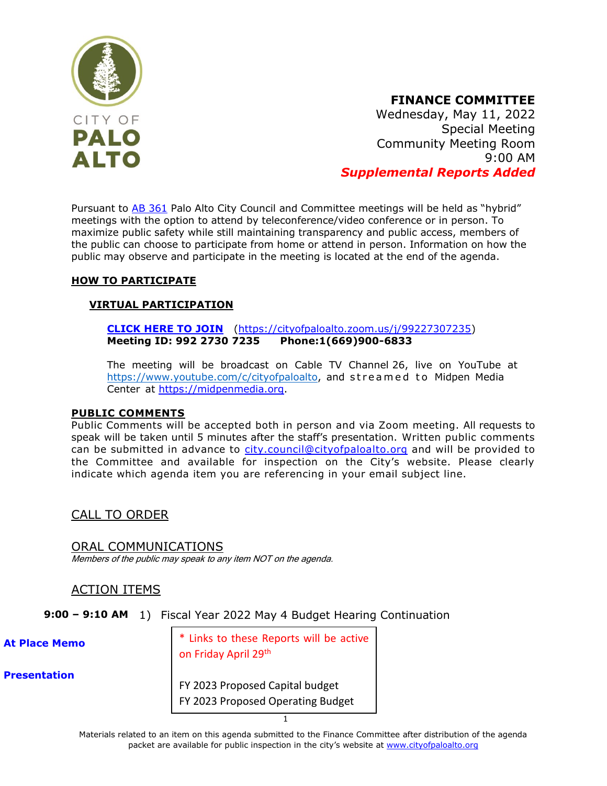

### **FINANCE COMMITTEE**

Wednesday, May 11, 2022 Special Meeting Community Meeting Room 9:00 AM *Supplemental Reports Added*

Pursuant to [AB 361](https://leginfo.legislature.ca.gov/faces/billNavClient.xhtml?bill_id=202120220AB361) Palo Alto City Council and Committee meetings will be held as "hybrid" meetings with the option to attend by teleconference/video conference or in person. To maximize public safety while still maintaining transparency and public access, members of the public can choose to participate from home or attend in person. Information on how the public may observe and participate in the meeting is located at the end of the agenda.

#### **HOW TO PARTICIPATE**

#### **VIRTUAL PARTICIPATION**

**[CLICK HERE TO JOIN](https://cityofpaloalto.zoom.us/j/99227307235)** [\(https://cityofpaloalto.zoom.us/j/99227307235\)](https://cityofpaloalto.zoom.us/j/99227307235) **Meeting ID: 992 2730 7235 Phone:1(669)900-6833**

The meeting will be broadcast on Cable TV Channel 26, live on YouTube at [https://www.youtube.com/c/cityofpaloalto,](https://www.youtube.com/c/cityofpaloalto) and streamed to Midpen Media Center at [https://midpenmedia.org.](https://midpenmedia.org/)

#### **PUBLIC COMMENTS**

Public Comments will be accepted both in person and via Zoom meeting. All requests to speak will be taken until 5 minutes after the staff's presentation. Written public comments can be submitted in advance to [city.council@cityofpaloalto.org](mailto:city.council@cityofpaloalto.org) and will be provided to the Committee and available for inspection on the City's website. Please clearly indicate which agenda item you are referencing in your email subject line.

#### CALL TO ORDER

ORAL COMMUNICATIONS Members of the public may speak to any item NOT on the agenda.

#### ACTION ITEMS

**9:00 – 9:10 AM** 1) Fiscal Year 2022 May 4 Budget Hearing Continuation

**[At Place Memo](www.cityofpaloalto.org/files/assets/public/agendas-minutes-reports/agendas-minutes/finance-committee/2022/20220510/at-place-memo-20220510.pdf)**

\* Links to these Reports will be active on Friday April 29<sup>th</sup>

**[Presentation](www.cityofpaloalto.org/files/assets/public/agendas-minutes-reports/agendas-minutes/finance-committee/2022/20220511/item1a-20220511fcs.pdf)**

[FY 2023 Proposed Capital budget](https://www.cityofpaloalto.org/files/assets/public/administrative-services/city-budgets/fy2023-city-budget/proposed-fy23/fy-2023-proposed-capital-budget-real-final_upload2web_small.pdf) [FY 2023 Proposed Operating Budget](https://www.cityofpaloalto.org/files/assets/public/administrative-services/city-budgets/fy2023-city-budget/proposed-fy23/fy-2023-proposed-operating-budget_final_upload2web_small2.pdf)

1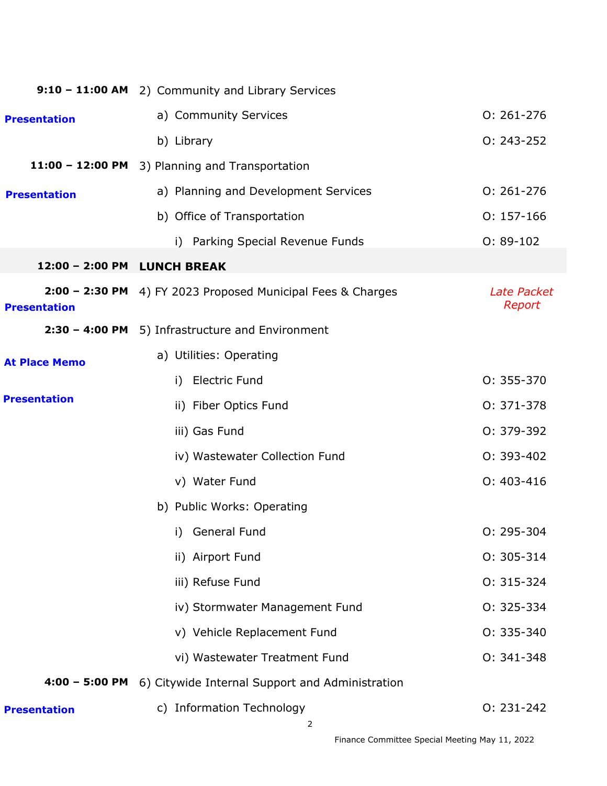|                             | 9:10 - 11:00 AM 2) Community and Library Services           |                       |
|-----------------------------|-------------------------------------------------------------|-----------------------|
| <b>Presentation</b>         | a) Community Services                                       | $0: 261 - 276$        |
|                             | b) Library                                                  | $0: 243 - 252$        |
|                             | 11:00 - 12:00 PM 3) Planning and Transportation             |                       |
| <b>Presentation</b>         | a) Planning and Development Services                        | $0: 261 - 276$        |
|                             | b) Office of Transportation                                 | $0: 157 - 166$        |
|                             | i) Parking Special Revenue Funds                            | $0: 89-102$           |
| 12:00 - 2:00 PM LUNCH BREAK |                                                             |                       |
| <b>Presentation</b>         | 2:00 - 2:30 PM 4) FY 2023 Proposed Municipal Fees & Charges | Late Packet<br>Report |
|                             | 2:30 - 4:00 PM 5) Infrastructure and Environment            |                       |
| <b>At Place Memo</b>        | a) Utilities: Operating                                     |                       |
|                             | i) Electric Fund                                            | $0: 355 - 370$        |
| <b>Presentation</b>         | ii) Fiber Optics Fund                                       | 0: 371-378            |
|                             | iii) Gas Fund                                               | 0: 379-392            |
|                             | iv) Wastewater Collection Fund                              | 0: 393-402            |
|                             | v) Water Fund                                               | $0: 403 - 416$        |
|                             | b) Public Works: Operating                                  |                       |
|                             | General Fund<br>i)                                          | $0: 295 - 304$        |
|                             | ii) Airport Fund                                            | $0: 305 - 314$        |
|                             | iii) Refuse Fund                                            | $0: 315 - 324$        |
|                             | iv) Stormwater Management Fund                              | 0: 325-334            |
|                             | v) Vehicle Replacement Fund                                 | 0: 335-340            |
|                             | vi) Wastewater Treatment Fund                               | $0: 341 - 348$        |
| $4:00 - 5:00$ PM            | 6) Citywide Internal Support and Administration             |                       |
| <b>Presentation</b>         | c) Information Technology                                   | $0: 231 - 242$        |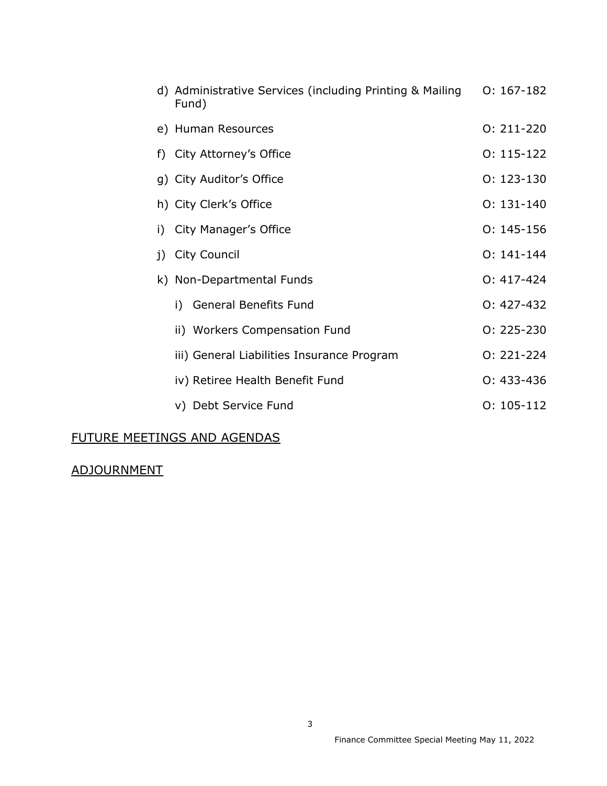|    | d) Administrative Services (including Printing & Mailing<br>Fund) | $0: 167-182$   |
|----|-------------------------------------------------------------------|----------------|
|    | e) Human Resources                                                | $0: 211 - 220$ |
|    | f) City Attorney's Office                                         | $0: 115-122$   |
|    | g) City Auditor's Office                                          | $0: 123 - 130$ |
|    | h) City Clerk's Office                                            | $0:131-140$    |
| i) | City Manager's Office                                             | $0: 145 - 156$ |
|    | j) City Council                                                   | $0:141-144$    |
|    | k) Non-Departmental Funds                                         | $0: 417 - 424$ |
|    | i) General Benefits Fund                                          | $0: 427 - 432$ |
|    | ii) Workers Compensation Fund                                     | $0: 225 - 230$ |
|    | iii) General Liabilities Insurance Program                        | $0: 221 - 224$ |
|    | iv) Retiree Health Benefit Fund                                   | $0: 433 - 436$ |
|    | v) Debt Service Fund                                              | $0: 105 - 112$ |

### FUTURE MEETINGS AND AGENDAS

## ADJOURNMENT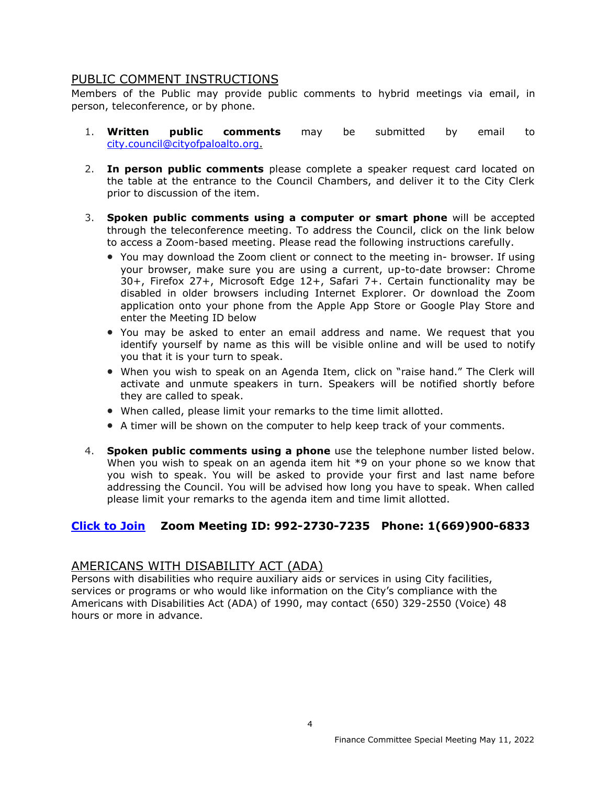#### PUBLIC COMMENT INSTRUCTIONS

Members of the Public may provide public comments to hybrid meetings via email, in person, teleconference, or by phone.

- 1. **Written public comments** may be submitted by email to [city.council@cityofpaloalto.org.](mailto:city.council@cityofpaloalto.org)
- 2. **In person public comments** please complete a speaker request card located on the table at the entrance to the Council Chambers, and deliver it to the City Clerk prior to discussion of the item.
- 3. **Spoken public comments using a computer or smart phone** will be accepted through the teleconference meeting. To address the Council, click on the link below to access a Zoom-based meeting. Please read the following instructions carefully.
	- You may download the Zoom client or connect to the meeting in- browser. If using your browser, make sure you are using a current, up-to-date browser: Chrome 30+, Firefox 27+, Microsoft Edge 12+, Safari 7+. Certain functionality may be disabled in older browsers including Internet Explorer. Or download the Zoom application onto your phone from the Apple App Store or Google Play Store and enter the Meeting ID below
	- You may be asked to enter an email address and name. We request that you identify yourself by name as this will be visible online and will be used to notify you that it is your turn to speak.
	- When you wish to speak on an Agenda Item, click on "raise hand." The Clerk will activate and unmute speakers in turn. Speakers will be notified shortly before they are called to speak.
	- When called, please limit your remarks to the time limit allotted.
	- A timer will be shown on the computer to help keep track of your comments.
- 4. **Spoken public comments using a phone** use the telephone number listed below. When you wish to speak on an agenda item hit \*9 on your phone so we know that you wish to speak. You will be asked to provide your first and last name before addressing the Council. You will be advised how long you have to speak. When called please limit your remarks to the agenda item and time limit allotted.

#### **[Click to Join](https://cityofpaloalto.zoom.us/j/99227307235) Zoom Meeting ID: 992-2730-7235 Phone: 1(669)900-6833**

#### AMERICANS WITH DISABILITY ACT (ADA)

Persons with disabilities who require auxiliary aids or services in using City facilities, services or programs or who would like information on the City's compliance with the Americans with Disabilities Act (ADA) of 1990, may contact (650) 329-2550 (Voice) 48 hours or more in advance.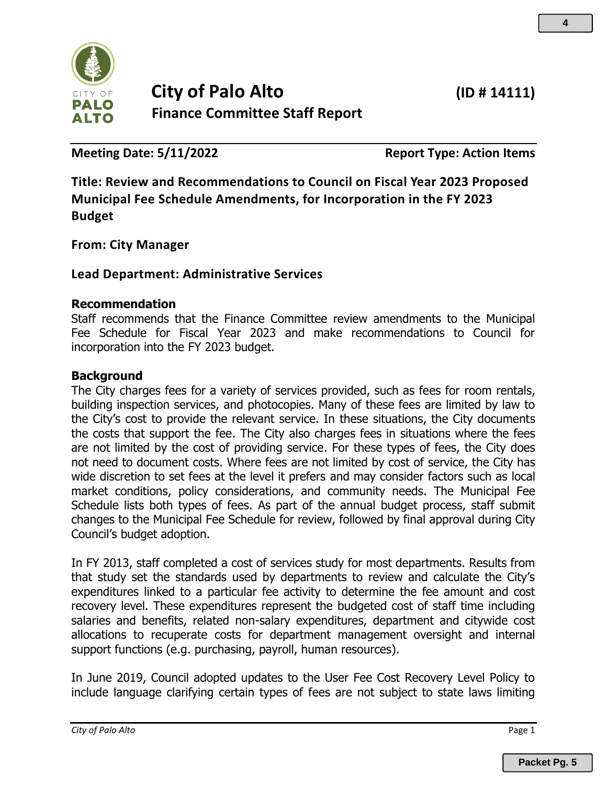<span id="page-4-0"></span>

# **City of Palo Alto (ID # 14111) Finance Committee Staff Report**

**Meeting Date: 5/11/2022 Report Type: Action Items**

**Title: Review and Recommendations to Council on Fiscal Year 2023 Proposed Municipal Fee Schedule Amendments, for Incorporation in the FY 2023 Budget**

**From: City Manager**

### **Lead Department: Administrative Services**

#### **Recommendation**

Staff recommends that the Finance Committee review amendments to the Municipal Fee Schedule for Fiscal Year 2023 and make recommendations to Council for incorporation into the FY 2023 budget.

#### **Background**

The City charges fees for a variety of services provided, such as fees for room rentals, building inspection services, and photocopies. Many of these fees are limited by law to the City's cost to provide the relevant service. In these situations, the City documents the costs that support the fee. The City also charges fees in situations where the fees are not limited by the cost of providing service. For these types of fees, the City does not need to document costs. Where fees are not limited by cost of service, the City has wide discretion to set fees at the level it prefers and may consider factors such as local market conditions, policy considerations, and community needs. The Municipal Fee Schedule lists both types of fees. As part of the annual budget process, staff submit changes to the Municipal Fee Schedule for review, followed by final approval during City Council's budget adoption.

In FY 2013, staff completed a cost of services study for most departments. Results from that study set the standards used by departments to review and calculate the City's expenditures linked to a particular fee activity to determine the fee amount and cost recovery level. These expenditures represent the budgeted cost of staff time including salaries and benefits, related non-salary expenditures, department and citywide cost allocations to recuperate costs for department management oversight and internal support functions (e.g. purchasing, payroll, human resources).

In June 2019, Council adopted updates to the User Fee Cost Recovery Level Policy to include language clarifying certain types of fees are not subject to state laws limiting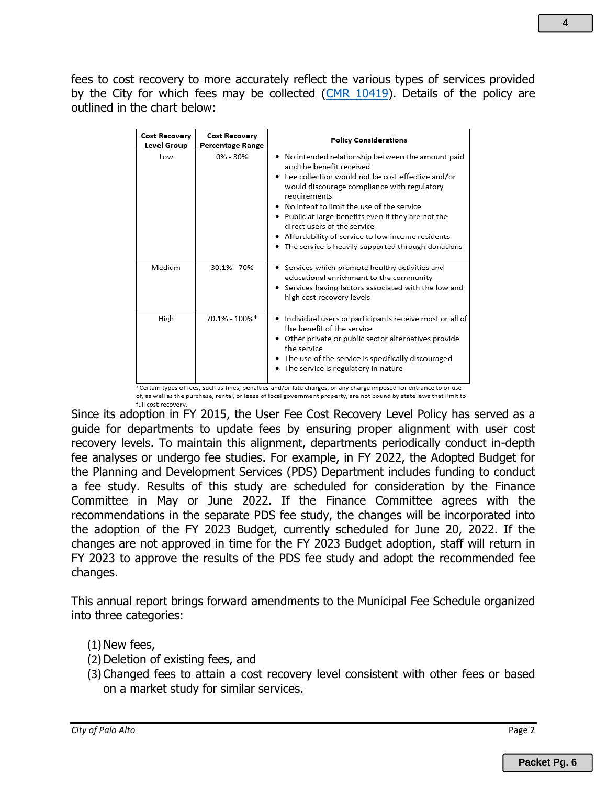fees to cost recovery to more accurately reflect the various types of services provided by the City for which fees may be collected [\(CMR 10419\)](https://www.cityofpaloalto.org/files/assets/public/agendas-minutes-reports/reports/city-manager-reports-cmrs/year-archive/2019/10419.pdf). Details of the policy are outlined in the chart below:

| <b>Cost Recovery</b><br>Level Group | <b>Cost Recovery</b><br>Percentage Range | <b>Policy Considerations</b>                                                                                                                                                                                                                                                                                                                                                                                                                          |
|-------------------------------------|------------------------------------------|-------------------------------------------------------------------------------------------------------------------------------------------------------------------------------------------------------------------------------------------------------------------------------------------------------------------------------------------------------------------------------------------------------------------------------------------------------|
| Low                                 | $0\% - 30\%$                             | . No intended relationship between the amount paid<br>and the benefit received<br>• Fee collection would not be cost effective and/or<br>would discourage compliance with regulatory<br>requirements<br>No intent to limit the use of the service<br>• Public at large benefits even if they are not the<br>direct users of the service<br>• Affordability of service to low-income residents<br>• The service is heavily supported through donations |
| Medium                              | 30.1% - 70%                              | • Services which promote healthy activities and<br>educational enrichment to the community<br>Services having factors associated with the low and<br>high cost recovery levels                                                                                                                                                                                                                                                                        |
| High                                | 70.1% - 100%*                            | Individual users or participants receive most or all of<br>the benefit of the service<br>• Other private or public sector alternatives provide<br>the service<br>• The use of the service is specifically discouraged<br>• The service is regulatory in nature<br>*Certain types of fees, such as fines, penalties and/or late charges, or any charge imposed for entrance to or use                                                                  |

of, as well as the purchase, rental, or lease of local government property, are not bound by state laws that limit to full cost recovery.

Since its adoption in FY 2015, the User Fee Cost Recovery Level Policy has served as a guide for departments to update fees by ensuring proper alignment with user cost recovery levels. To maintain this alignment, departments periodically conduct in-depth fee analyses or undergo fee studies. For example, in FY 2022, the Adopted Budget for the Planning and Development Services (PDS) Department includes funding to conduct a fee study. Results of this study are scheduled for consideration by the Finance Committee in May or June 2022. If the Finance Committee agrees with the recommendations in the separate PDS fee study, the changes will be incorporated into the adoption of the FY 2023 Budget, currently scheduled for June 20, 2022. If the changes are not approved in time for the FY 2023 Budget adoption, staff will return in FY 2023 to approve the results of the PDS fee study and adopt the recommended fee changes.

This annual report brings forward amendments to the Municipal Fee Schedule organized into three categories:

### $(1)$  New fees,

- (2) Deletion of existing fees, and
- (3)Changed fees to attain a cost recovery level consistent with other fees or based on a market study for similar services.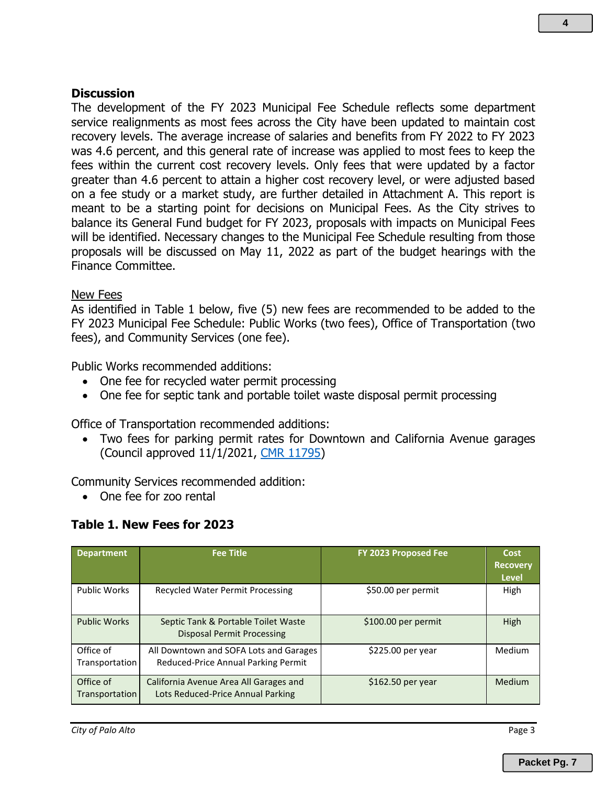#### **Discussion**

The development of the FY 2023 Municipal Fee Schedule reflects some department service realignments as most fees across the City have been updated to maintain cost recovery levels. The average increase of salaries and benefits from FY 2022 to FY 2023 was 4.6 percent, and this general rate of increase was applied to most fees to keep the fees within the current cost recovery levels. Only fees that were updated by a factor greater than 4.6 percent to attain a higher cost recovery level, or were adjusted based on a fee study or a market study, are further detailed in Attachment A. This report is meant to be a starting point for decisions on Municipal Fees. As the City strives to balance its General Fund budget for FY 2023, proposals with impacts on Municipal Fees will be identified. Necessary changes to the Municipal Fee Schedule resulting from those proposals will be discussed on May 11, 2022 as part of the budget hearings with the Finance Committee.

#### New Fees

As identified in Table 1 below, five (5) new fees are recommended to be added to the FY 2023 Municipal Fee Schedule: Public Works (two fees), Office of Transportation (two fees), and Community Services (one fee).

Public Works recommended additions:

- One fee for recycled water permit processing
- One fee for septic tank and portable toilet waste disposal permit processing

Office of Transportation recommended additions:

• Two fees for parking permit rates for Downtown and California Avenue garages (Council approved 11/1/2021, [CMR 11795\)](https://www.cityofpaloalto.org/files/assets/public/agendas-minutes-reports/agendas-minutes/city-council-agendas-minutes/2021/11-november/20211101pccs-amended.pdf)

Community Services recommended addition:

• One fee for zoo rental

#### **Table 1. New Fees for 2023**

| <b>Department</b>           | <b>Fee Title</b>                                                              | FY 2023 Proposed Fee | Cost<br><b>Recovery</b><br><b>Level</b> |
|-----------------------------|-------------------------------------------------------------------------------|----------------------|-----------------------------------------|
| <b>Public Works</b>         | Recycled Water Permit Processing                                              | \$50.00 per permit   | High                                    |
| <b>Public Works</b>         | Septic Tank & Portable Toilet Waste<br><b>Disposal Permit Processing</b>      | \$100.00 per permit  | High                                    |
| Office of<br>Transportation | All Downtown and SOFA Lots and Garages<br>Reduced-Price Annual Parking Permit | \$225.00 per year    | Medium                                  |
| Office of<br>Transportation | California Avenue Area All Garages and<br>Lots Reduced-Price Annual Parking   | $$162.50$ per year   | Medium                                  |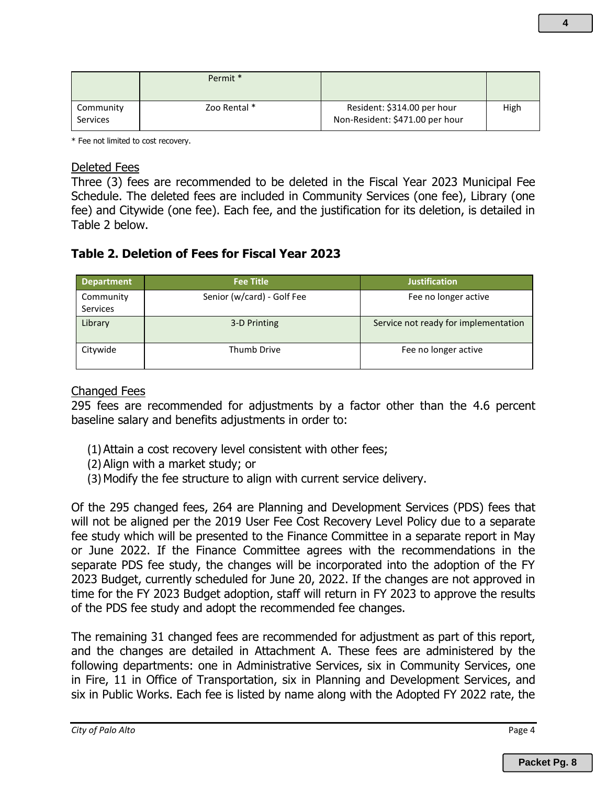|                              | Permit *     |                                                                |      |
|------------------------------|--------------|----------------------------------------------------------------|------|
| Community<br><b>Services</b> | Zoo Rental * | Resident: \$314.00 per hour<br>Non-Resident: \$471.00 per hour | High |

\* Fee not limited to cost recovery.

#### Deleted Fees

Three (3) fees are recommended to be deleted in the Fiscal Year 2023 Municipal Fee Schedule. The deleted fees are included in Community Services (one fee), Library (one fee) and Citywide (one fee). Each fee, and the justification for its deletion, is detailed in Table 2 below.

### **Table 2. Deletion of Fees for Fiscal Year 2023**

| <b>Department</b>            | <b>Fee Title</b>           | <b>Justification</b>                 |
|------------------------------|----------------------------|--------------------------------------|
| Community<br><b>Services</b> | Senior (w/card) - Golf Fee | Fee no longer active                 |
| Library                      | 3-D Printing               | Service not ready for implementation |
| Citywide                     | <b>Thumb Drive</b>         | Fee no longer active                 |

#### Changed Fees

295 fees are recommended for adjustments by a factor other than the 4.6 percent baseline salary and benefits adjustments in order to:

- (1)Attain a cost recovery level consistent with other fees;
- (2)Align with a market study; or
- (3)Modify the fee structure to align with current service delivery.

Of the 295 changed fees, 264 are Planning and Development Services (PDS) fees that will not be aligned per the 2019 User Fee Cost Recovery Level Policy due to a separate fee study which will be presented to the Finance Committee in a separate report in May or June 2022. If the Finance Committee agrees with the recommendations in the separate PDS fee study, the changes will be incorporated into the adoption of the FY 2023 Budget, currently scheduled for June 20, 2022. If the changes are not approved in time for the FY 2023 Budget adoption, staff will return in FY 2023 to approve the results of the PDS fee study and adopt the recommended fee changes.

The remaining 31 changed fees are recommended for adjustment as part of this report, and the changes are detailed in Attachment A. These fees are administered by the following departments: one in Administrative Services, six in Community Services, one in Fire, 11 in Office of Transportation, six in Planning and Development Services, and six in Public Works. Each fee is listed by name along with the Adopted FY 2022 rate, the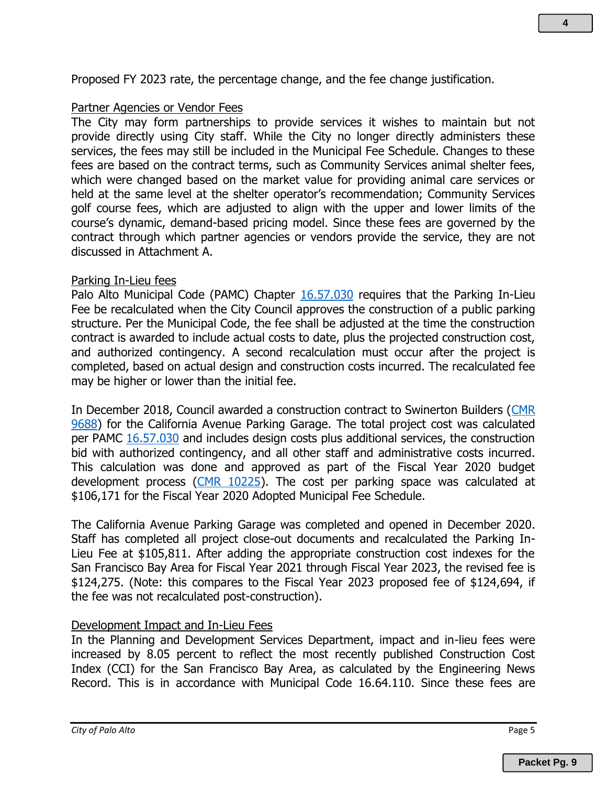Proposed FY 2023 rate, the percentage change, and the fee change justification.

#### Partner Agencies or Vendor Fees

The City may form partnerships to provide services it wishes to maintain but not provide directly using City staff. While the City no longer directly administers these services, the fees may still be included in the Municipal Fee Schedule. Changes to these fees are based on the contract terms, such as Community Services animal shelter fees, which were changed based on the market value for providing animal care services or held at the same level at the shelter operator's recommendation; Community Services golf course fees, which are adjusted to align with the upper and lower limits of the course's dynamic, demand-based pricing model. Since these fees are governed by the contract through which partner agencies or vendors provide the service, they are not discussed in Attachment A.

#### Parking In-Lieu fees

Palo Alto Municipal Code (PAMC) Chapter [16.57.030](https://codelibrary.amlegal.com/codes/paloalto/latest/paloalto_ca/0-0-0-74866) requires that the Parking In-Lieu Fee be recalculated when the City Council approves the construction of a public parking structure. Per the Municipal Code, the fee shall be adjusted at the time the construction contract is awarded to include actual costs to date, plus the projected construction cost, and authorized contingency. A second recalculation must occur after the project is completed, based on actual design and construction costs incurred. The recalculated fee may be higher or lower than the initial fee.

In December 2018, Council awarded a construction contract to Swinerton Builders [\(CMR](https://www.cityofpaloalto.org/files/assets/public/agendas-minutes-reports/reports/city-manager-reports-cmrs/year-archive/2018/id.-9688-350-sherman-ave-garage-construction.pdf?t=62452.05)  [9688\)](https://www.cityofpaloalto.org/files/assets/public/agendas-minutes-reports/reports/city-manager-reports-cmrs/year-archive/2018/id.-9688-350-sherman-ave-garage-construction.pdf?t=62452.05) for the California Avenue Parking Garage. The total project cost was calculated per PAMC [16.57.030](https://codelibrary.amlegal.com/codes/paloalto/latest/paloalto_ca/0-0-0-74866) and includes design costs plus additional services, the construction bid with authorized contingency, and all other staff and administrative costs incurred. This calculation was done and approved as part of the Fiscal Year 2020 budget development process [\(CMR 10225\)](https://www.cityofpaloalto.org/files/assets/public/agendas-minutes-reports/reports/city-manager-reports-cmrs/year-archive/2019/10225.pdf). The cost per parking space was calculated at \$106,171 for the Fiscal Year 2020 Adopted Municipal Fee Schedule.

The California Avenue Parking Garage was completed and opened in December 2020. Staff has completed all project close-out documents and recalculated the Parking In-Lieu Fee at \$105,811. After adding the appropriate construction cost indexes for the San Francisco Bay Area for Fiscal Year 2021 through Fiscal Year 2023, the revised fee is \$124,275. (Note: this compares to the Fiscal Year 2023 proposed fee of \$124,694, if the fee was not recalculated post-construction).

### Development Impact and In-Lieu Fees

In the Planning and Development Services Department, impact and in-lieu fees were increased by 8.05 percent to reflect the most recently published Construction Cost Index (CCI) for the San Francisco Bay Area, as calculated by the Engineering News Record. This is in accordance with Municipal Code 16.64.110. Since these fees are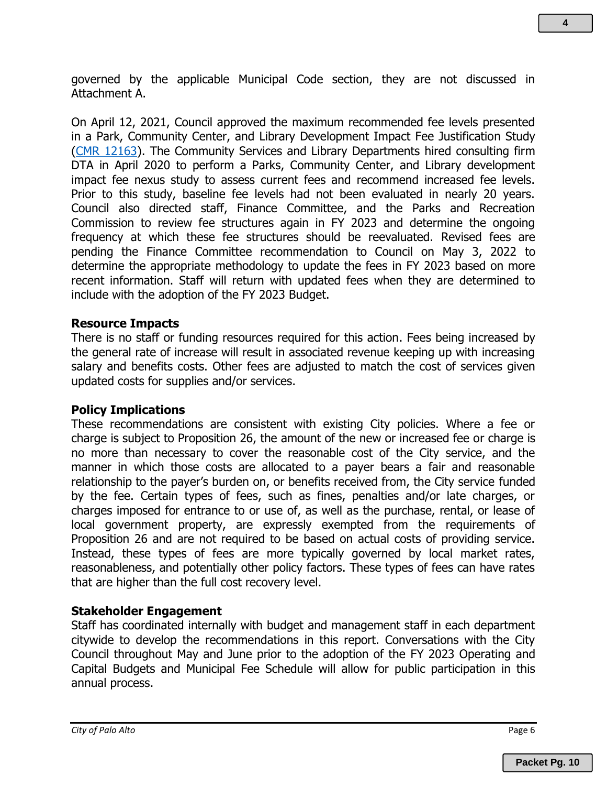governed by the applicable Municipal Code section, they are not discussed in Attachment A.

On April 12, 2021, Council approved the maximum recommended fee levels presented in a Park, Community Center, and Library Development Impact Fee Justification Study [\(CMR 12163\)](https://www.cityofpaloalto.org/files/assets/public/agendas-minutes-reports/reports/city-manager-reports-cmrs/current-year/2021/id-12163.pdf). The Community Services and Library Departments hired consulting firm DTA in April 2020 to perform a Parks, Community Center, and Library development impact fee nexus study to assess current fees and recommend increased fee levels. Prior to this study, baseline fee levels had not been evaluated in nearly 20 years. Council also directed staff, Finance Committee, and the Parks and Recreation Commission to review fee structures again in FY 2023 and determine the ongoing frequency at which these fee structures should be reevaluated. Revised fees are pending the Finance Committee recommendation to Council on May 3, 2022 to determine the appropriate methodology to update the fees in FY 2023 based on more recent information. Staff will return with updated fees when they are determined to include with the adoption of the FY 2023 Budget.

### **Resource Impacts**

There is no staff or funding resources required for this action. Fees being increased by the general rate of increase will result in associated revenue keeping up with increasing salary and benefits costs. Other fees are adjusted to match the cost of services given updated costs for supplies and/or services.

### **Policy Implications**

These recommendations are consistent with existing City policies. Where a fee or charge is subject to Proposition 26, the amount of the new or increased fee or charge is no more than necessary to cover the reasonable cost of the City service, and the manner in which those costs are allocated to a payer bears a fair and reasonable relationship to the payer's burden on, or benefits received from, the City service funded by the fee. Certain types of fees, such as fines, penalties and/or late charges, or charges imposed for entrance to or use of, as well as the purchase, rental, or lease of local government property, are expressly exempted from the requirements of Proposition 26 and are not required to be based on actual costs of providing service. Instead, these types of fees are more typically governed by local market rates, reasonableness, and potentially other policy factors. These types of fees can have rates that are higher than the full cost recovery level.

### **Stakeholder Engagement**

Staff has coordinated internally with budget and management staff in each department citywide to develop the recommendations in this report. Conversations with the City Council throughout May and June prior to the adoption of the FY 2023 Operating and Capital Budgets and Municipal Fee Schedule will allow for public participation in this annual process.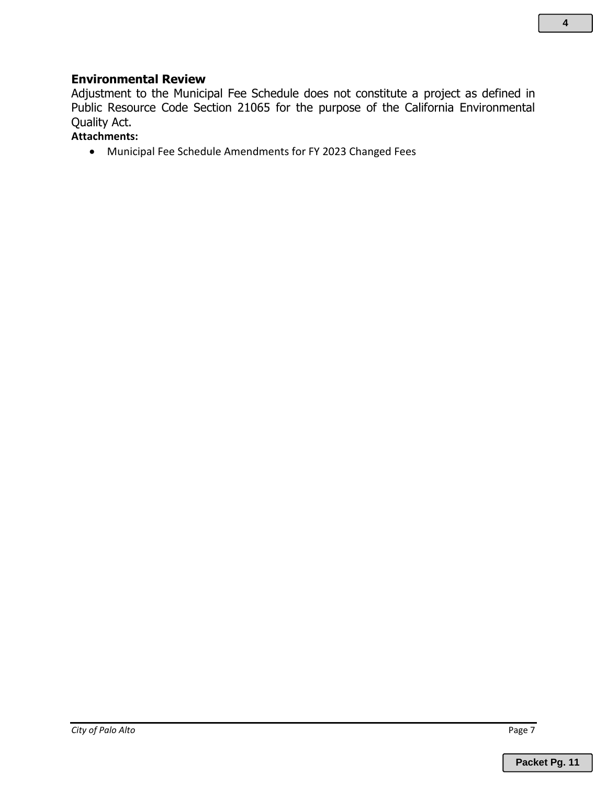#### **Environmental Review**

Adjustment to the Municipal Fee Schedule does not constitute a project as defined in Public Resource Code Section 21065 for the purpose of the California Environmental Quality Act.

### **Attachments:**

• Municipal Fee Schedule Amendments for FY 2023 Changed Fees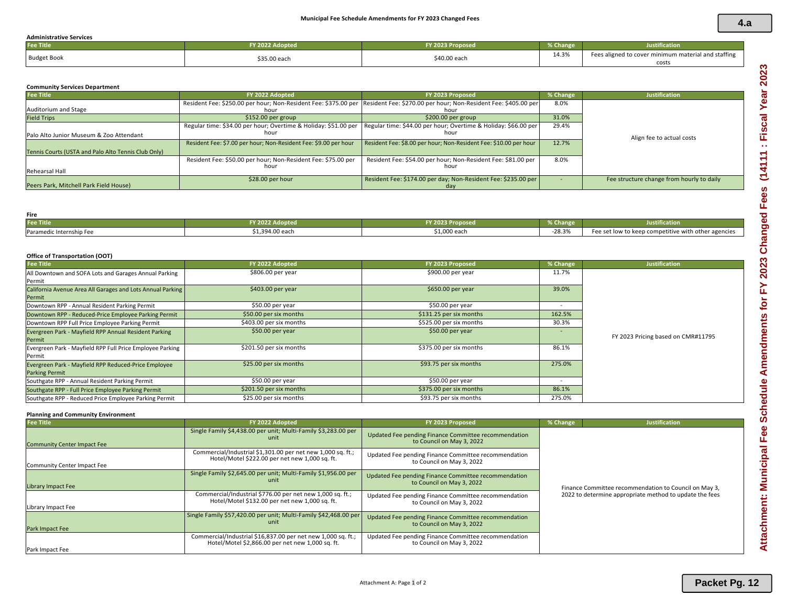#### **Administrative Services**

| <b>Fee Title</b>   | Y 2022 Adopted | FY 2023 Proposed | % Change | <b>Justification</b>                                |
|--------------------|----------------|------------------|----------|-----------------------------------------------------|
| <b>Budget Book</b> | \$35.00 each   | \$40.00 each     | 14.3%    | Fees aligned to cover minimum material and staffing |
|                    |                |                  |          | cost:                                               |

#### **Community Services Department**

| <b>Fee Title</b>                                    | FY 2022 Adopted                                                                                                                         | FY 2023 Proposed                                                      | % Change | <b>Justification</b>                      |
|-----------------------------------------------------|-----------------------------------------------------------------------------------------------------------------------------------------|-----------------------------------------------------------------------|----------|-------------------------------------------|
| Auditorium and Stage                                | Resident Fee: \$250.00 per hour; Non-Resident Fee: \$375.00 per Resident Fee: \$270.00 per hour; Non-Resident Fee: \$405.00 per<br>hour | hour                                                                  | 8.0%     |                                           |
| <b>Field Trips</b>                                  | $$152.00$ per group                                                                                                                     | $$200.00$ per group                                                   | 31.0%    |                                           |
| Palo Alto Junior Museum & Zoo Attendant             | Regular time: \$34.00 per hour; Overtime & Holiday: \$51.00 per Regular time: \$44.00 per hour; Overtime & Holiday: \$66.00 per<br>hour | hour                                                                  | 29.4%    | Align fee to actual costs                 |
| Tennis Courts (USTA and Palo Alto Tennis Club Only) | Resident Fee: \$7.00 per hour; Non-Resident Fee: \$9.00 per hour                                                                        | Resident Fee: \$8.00 per hour; Non-Resident Fee: \$10.00 per hour     | 12.7%    |                                           |
| Rehearsal Hall                                      | Resident Fee: \$50.00 per hour; Non-Resident Fee: \$75.00 per<br>hour                                                                   | Resident Fee: \$54.00 per hour; Non-Resident Fee: \$81.00 per<br>hour | 8.0%     |                                           |
| Peers Park, Mitchell Park Field House)              | $$28.00$ per hour                                                                                                                       | Resident Fee: \$174.00 per day; Non-Resident Fee: \$235.00 per        |          | Fee structure change from hourly to daily |

#### **Fire Fee Title FY 2022 Adopted FY 2023 Proposed % Change Justification** Paramedic Internship Fee **1996. Internal and S1,394.00 each** -28.3% Fee set low to keep competitive with other agencies

#### **Office of Transportation (OOT)**

| <b>Fee Title</b>                                                              | FY 2022 Adopted         | FY 2023 Proposed        | % Change | <b>Justification</b>               |
|-------------------------------------------------------------------------------|-------------------------|-------------------------|----------|------------------------------------|
| All Downtown and SOFA Lots and Garages Annual Parking<br>Permit               | \$806.00 per year       | \$900.00 per year       | 11.7%    |                                    |
| California Avenue Area All Garages and Lots Annual Parking<br>Permit          | \$403.00 per year       | \$650.00 per year       | 39.0%    |                                    |
| Downtown RPP - Annual Resident Parking Permit                                 | \$50.00 per year        | \$50.00 per year        |          |                                    |
| Downtown RPP - Reduced-Price Employee Parking Permit                          | \$50.00 per six months  | \$131.25 per six months | 162.5%   |                                    |
| Downtown RPP Full Price Employee Parking Permit                               | \$403.00 per six months | \$525.00 per six months | 30.3%    |                                    |
| Evergreen Park - Mayfield RPP Annual Resident Parking<br>Permit               | $$50.00$ per year       | $$50.00$ per year       |          | FY 2023 Pricing based on CMR#11795 |
| Evergreen Park - Mayfield RPP Full Price Employee Parking<br>Permit           | \$201.50 per six months | \$375.00 per six months | 86.1%    |                                    |
| Evergreen Park - Mayfield RPP Reduced-Price Employee<br><b>Parking Permit</b> | \$25.00 per six months  | \$93.75 per six months  | 275.0%   |                                    |
| Southgate RPP - Annual Resident Parking Permit                                | \$50.00 per year        | \$50.00 per year        |          |                                    |
| Southgate RPP - Full Price Employee Parking Permit                            | \$201.50 per six months | \$375.00 per six months | 86.1%    |                                    |
| Southgate RPP - Reduced Price Employee Parking Permit                         | \$25.00 per six months  | \$93.75 per six months  | 275.0%   |                                    |

#### **Planning and Community Environment**

| <b>Fee Title</b>                   | FY 2022 Adopted                                                                                                  | FY 2023 Proposed                                                                  | % Change | <b>Justification</b>                                    |
|------------------------------------|------------------------------------------------------------------------------------------------------------------|-----------------------------------------------------------------------------------|----------|---------------------------------------------------------|
| <b>Community Center Impact Fee</b> | Single Family \$4,438.00 per unit; Multi-Family \$3,283.00 per<br>unit                                           | Updated Fee pending Finance Committee recommendation<br>to Council on May 3, 2022 |          |                                                         |
| Community Center Impact Fee        | Commercial/Industrial \$1,301.00 per net new 1,000 sq. ft.;<br>Hotel/Motel \$222.00 per net new 1,000 sq. ft.    | Updated Fee pending Finance Committee recommendation<br>to Council on May 3, 2022 |          |                                                         |
| <b>Library Impact Fee</b>          | Single Family \$2,645.00 per unit; Multi-Family \$1,956.00 per<br>unit                                           | Updated Fee pending Finance Committee recommendation<br>to Council on May 3, 2022 |          | Finance Committee recommendation to Council on May 3,   |
| Library Impact Fee                 | Commercial/Industrial \$776.00 per net new 1,000 sq. ft.;<br>Hotel/Motel \$132.00 per net new 1,000 sq. ft.      | Updated Fee pending Finance Committee recommendation<br>to Council on May 3, 2022 |          | 2022 to determine appropriate method to update the fees |
| Park Impact Fee                    | Single Family \$57,420.00 per unit; Multi-Family \$42,468.00 per<br>unit                                         | Updated Fee pending Finance Committee recommendation<br>to Council on May 3, 2022 |          |                                                         |
| Park Impact Fee                    | Commercial/Industrial \$16,837.00 per net new 1,000 sq. ft.;<br>Hotel/Motel \$2,866.00 per net new 1,000 sq. ft. | Updated Fee pending Finance Committee recommendation<br>to Council on May 3, 2022 |          |                                                         |